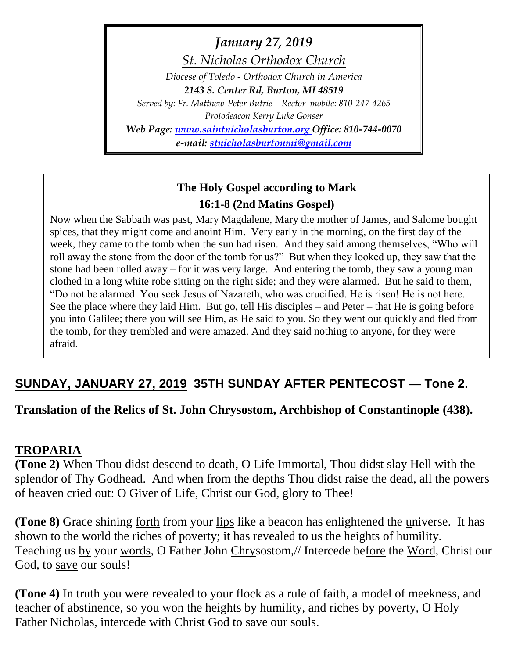*January 27, 2019*

*St. Nicholas Orthodox Church*

*Diocese of Toledo - Orthodox Church in America 2143 S. Center Rd, Burton, MI 48519 Served by: Fr. Matthew-Peter Butrie – Rector mobile: 810-247-4265 Protodeacon Kerry Luke Gonser*

*Web Page: [www.saintnicholasburton.org](http://www.saintnicholasburton.org/) Office: 810-744-0070*

*e-mail: [stnicholasburtonmi@gmail.com](mailto:stnicholasburtonmi@gmail.com)*

# **The Holy Gospel according to Mark 16:1-8 (2nd Matins Gospel)**

Now when the Sabbath was past, Mary Magdalene, Mary the mother of James, and Salome bought spices, that they might come and anoint Him. Very early in the morning, on the first day of the week, they came to the tomb when the sun had risen. And they said among themselves, "Who will roll away the stone from the door of the tomb for us?" But when they looked up, they saw that the stone had been rolled away – for it was very large. And entering the tomb, they saw a young man clothed in a long white robe sitting on the right side; and they were alarmed. But he said to them, "Do not be alarmed. You seek Jesus of Nazareth, who was crucified. He is risen! He is not here. See the place where they laid Him. But go, tell His disciples – and Peter – that He is going before you into Galilee; there you will see Him, as He said to you. So they went out quickly and fled from the tomb, for they trembled and were amazed. And they said nothing to anyone, for they were afraid.

# **SUNDAY, JANUARY 27, 2019 35TH SUNDAY AFTER PENTECOST — Tone 2.**

**Translation of the Relics of St. John Chrysostom, Archbishop of Constantinople (438).** 

### **TROPARIA**

**(Tone 2)** When Thou didst descend to death, O Life Immortal, Thou didst slay Hell with the splendor of Thy Godhead. And when from the depths Thou didst raise the dead, all the powers of heaven cried out: O Giver of Life, Christ our God, glory to Thee!

**(Tone 8)** Grace shining forth from your lips like a beacon has enlightened the universe. It has shown to the world the riches of poverty; it has revealed to us the heights of humility. Teaching us by your words, O Father John Chrysostom,// Intercede before the Word, Christ our God, to save our souls!

**(Tone 4)** In truth you were revealed to your flock as a rule of faith, a model of meekness, and teacher of abstinence, so you won the heights by humility, and riches by poverty, O Holy Father Nicholas, intercede with Christ God to save our souls.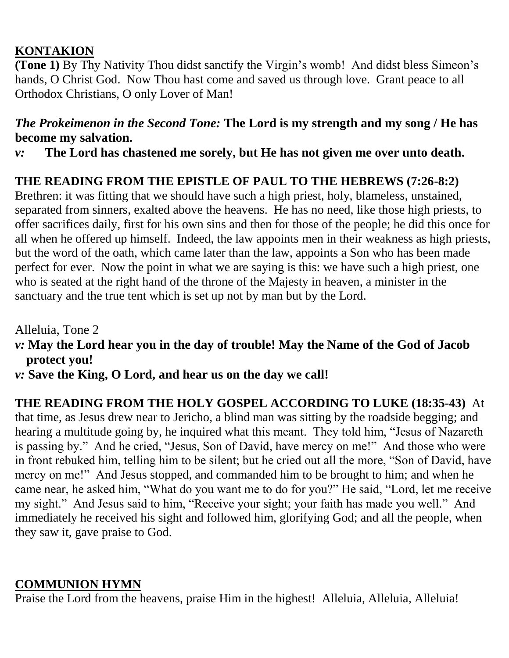## **KONTAKION**

**(Tone 1)** By Thy Nativity Thou didst sanctify the Virgin's womb! And didst bless Simeon's hands, O Christ God. Now Thou hast come and saved us through love. Grant peace to all Orthodox Christians, O only Lover of Man!

## *The Prokeimenon in the Second Tone:* **The Lord is my strength and my song / He has become my salvation.**

*v:* **The Lord has chastened me sorely, but He has not given me over unto death.**

## **THE READING FROM THE EPISTLE OF PAUL TO THE HEBREWS (7:26-8:2)**

Brethren: it was fitting that we should have such a high priest, holy, blameless, unstained, separated from sinners, exalted above the heavens. He has no need, like those high priests, to offer sacrifices daily, first for his own sins and then for those of the people; he did this once for all when he offered up himself. Indeed, the law appoints men in their weakness as high priests, but the word of the oath, which came later than the law, appoints a Son who has been made perfect for ever. Now the point in what we are saying is this: we have such a high priest, one who is seated at the right hand of the throne of the Majesty in heaven, a minister in the sanctuary and the true tent which is set up not by man but by the Lord.

Alleluia, Tone 2

- *v:* **May the Lord hear you in the day of trouble! May the Name of the God of Jacob protect you!**
- *v:* **Save the King, O Lord, and hear us on the day we call!**

**THE READING FROM THE HOLY GOSPEL ACCORDING TO LUKE (18:35-43)** At that time, as Jesus drew near to Jericho, a blind man was sitting by the roadside begging; and hearing a multitude going by, he inquired what this meant. They told him, "Jesus of Nazareth is passing by." And he cried, "Jesus, Son of David, have mercy on me!" And those who were in front rebuked him, telling him to be silent; but he cried out all the more, "Son of David, have mercy on me!" And Jesus stopped, and commanded him to be brought to him; and when he came near, he asked him, "What do you want me to do for you?" He said, "Lord, let me receive my sight." And Jesus said to him, "Receive your sight; your faith has made you well." And immediately he received his sight and followed him, glorifying God; and all the people, when they saw it, gave praise to God.

## **COMMUNION HYMN**

Praise the Lord from the heavens, praise Him in the highest! Alleluia, Alleluia, Alleluia!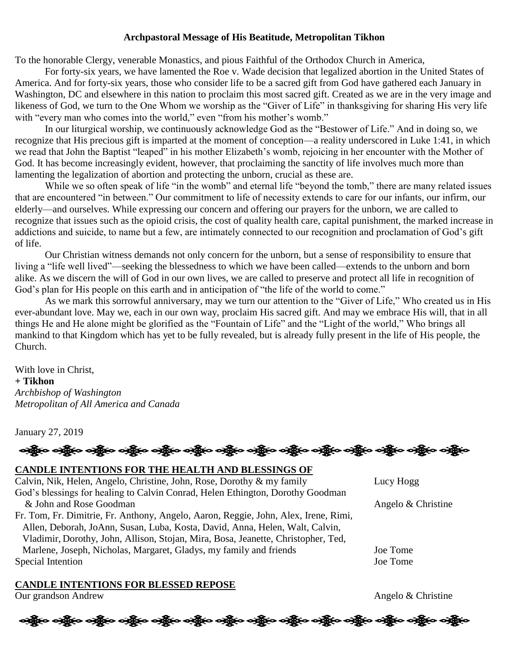#### **Archpastoral Message of His Beatitude, Metropolitan Tikhon**

To the honorable Clergy, venerable Monastics, and pious Faithful of the Orthodox Church in America,

For forty-six years, we have lamented the Roe v. Wade decision that legalized abortion in the United States of America. And for forty-six years, those who consider life to be a sacred gift from God have gathered each January in Washington, DC and elsewhere in this nation to proclaim this most sacred gift. Created as we are in the very image and likeness of God, we turn to the One Whom we worship as the "Giver of Life" in thanksgiving for sharing His very life with "every man who comes into the world," even "from his mother's womb."

In our liturgical worship, we continuously acknowledge God as the "Bestower of Life." And in doing so, we recognize that His precious gift is imparted at the moment of conception—a reality underscored in Luke 1:41, in which we read that John the Baptist "leaped" in his mother Elizabeth's womb, rejoicing in her encounter with the Mother of God. It has become increasingly evident, however, that proclaiming the sanctity of life involves much more than lamenting the legalization of abortion and protecting the unborn, crucial as these are.

While we so often speak of life "in the womb" and eternal life "beyond the tomb," there are many related issues that are encountered "in between." Our commitment to life of necessity extends to care for our infants, our infirm, our elderly—and ourselves. While expressing our concern and offering our prayers for the unborn, we are called to recognize that issues such as the opioid crisis, the cost of quality health care, capital punishment, the marked increase in addictions and suicide, to name but a few, are intimately connected to our recognition and proclamation of God's gift of life.

Our Christian witness demands not only concern for the unborn, but a sense of responsibility to ensure that living a "life well lived"—seeking the blessedness to which we have been called—extends to the unborn and born alike. As we discern the will of God in our own lives, we are called to preserve and protect all life in recognition of God's plan for His people on this earth and in anticipation of "the life of the world to come."

As we mark this sorrowful anniversary, may we turn our attention to the "Giver of Life," Who created us in His ever-abundant love. May we, each in our own way, proclaim His sacred gift. And may we embrace His will, that in all things He and He alone might be glorified as the "Fountain of Life" and the "Light of the world," Who brings all mankind to that Kingdom which has yet to be fully revealed, but is already fully present in the life of His people, the Church.

With love in Christ, **+ Tikhon** *Archbishop of Washington Metropolitan of All America and Canada*

January 27, 2019

### **CANDLE INTENTIONS FOR THE HEALTH AND BLESSINGS OF**

Calvin, Nik, Helen, Angelo, Christine, John, Rose, Dorothy & my family Lucy Hogg God's blessings for healing to Calvin Conrad, Helen Ethington, Dorothy Goodman & John and Rose Goodman Angelo & Christine Fr. Tom, Fr. Dimitrie, Fr. Anthony, Angelo, Aaron, Reggie, John, Alex, Irene, Rimi, Allen, Deborah, JoAnn, Susan, Luba, Kosta, David, Anna, Helen, Walt, Calvin,

Vladimir, Dorothy, John, Allison, Stojan, Mira, Bosa, Jeanette, Christopher, Ted, Marlene, Joseph, Nicholas, Margaret, Gladys, my family and friends Joe Tome Special Intention Joe Tome

### **CANDLE INTENTIONS FOR BLESSED REPOSE**

Our grandson Andrew Angelo & Christine

## န့်စ ဝန္တို့မ ဝန္တို့မ ဝန္တို့မ ဝန္တို့မ ဝန္တို့မ ဝန္တို့မ ဝန္တို့မ ဝန္တို့မ ဝန္တို့မ ဝန္တို့မ ဝန္တို့မ ဝန္တို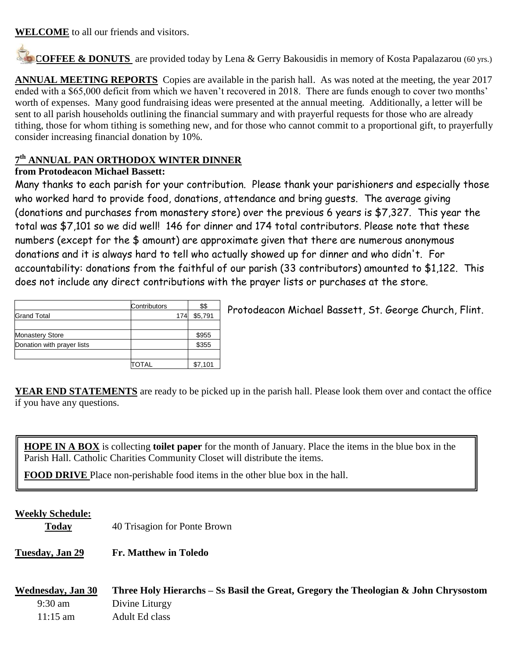**WELCOME** to all our friends and visitors.

**COFFEE & DONUTS** are provided today by Lena & Gerry Bakousidis in memory of Kosta Papalazarou (60 yrs.)

**ANNUAL MEETING REPORTS** Copies are available in the parish hall. As was noted at the meeting, the year 2017 ended with a \$65,000 deficit from which we haven't recovered in 2018. There are funds enough to cover two months' worth of expenses. Many good fundraising ideas were presented at the annual meeting. Additionally, a letter will be sent to all parish households outlining the financial summary and with prayerful requests for those who are already tithing, those for whom tithing is something new, and for those who cannot commit to a proportional gift, to prayerfully consider increasing financial donation by 10%.

### **7 th ANNUAL PAN ORTHODOX WINTER DINNER**

### **from Protodeacon Michael Bassett:**

Many thanks to each parish for your contribution. Please thank your parishioners and especially those who worked hard to provide food, donations, attendance and bring guests. The average giving (donations and purchases from monastery store) over the previous 6 years is \$7,327. This year the total was \$7,101 so we did well! 146 for dinner and 174 total contributors. Please note that these numbers (except for the \$ amount) are approximate given that there are numerous anonymous donations and it is always hard to tell who actually showed up for dinner and who didn't. For accountability: donations from the faithful of our parish (33 contributors) amounted to \$1,122. This does not include any direct contributions with the prayer lists or purchases at the store.

|                            | Contributors | \$\$    |
|----------------------------|--------------|---------|
| <b>Grand Total</b>         | 174          | \$5,791 |
|                            |              |         |
| <b>Monastery Store</b>     |              | \$955   |
| Donation with prayer lists |              | \$355   |
|                            |              |         |
|                            | OTAL.        | \$7,101 |

Protodeacon Michael Bassett, St. George Church, Flint.

**YEAR END STATEMENTS** are ready to be picked up in the parish hall. Please look them over and contact the office if you have any questions.

**HOPE IN A BOX** is collecting **toilet paper** for the month of January. Place the items in the blue box in the Parish Hall. Catholic Charities Community Closet will distribute the items.

ֺ֝֡ **FOOD DRIVE** Place non-perishable food items in the other blue box in the hall.

### **Weekly Schedule:**

**Today** 40 Trisagion for Ponte Brown

**Tuesday, Jan 29 Fr. Matthew in Toledo**

**Wednesday, Jan 30 Three Holy Hierarchs – Ss Basil the Great, Gregory the Theologian & John Chrysostom** 9:30 am Divine Liturgy 11:15 am Adult Ed class